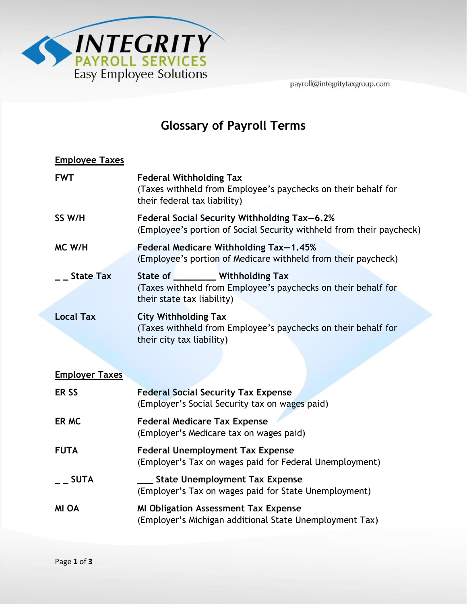

payroll@integritytaxgroup.com

## **Glossary of Payroll Terms**

| <b>Employee Taxes</b> |                                                                                                                                   |
|-----------------------|-----------------------------------------------------------------------------------------------------------------------------------|
| <b>FWT</b>            | <b>Federal Withholding Tax</b><br>(Taxes withheld from Employee's paychecks on their behalf for<br>their federal tax liability)   |
| SS W/H                | Federal Social Security Withholding Tax-6.2%<br>(Employee's portion of Social Security withheld from their paycheck)              |
| MC W/H                | Federal Medicare Withholding Tax-1.45%<br>(Employee's portion of Medicare withheld from their paycheck)                           |
| <b>State Tax</b>      | State of _________ Withholding Tax<br>(Taxes withheld from Employee's paychecks on their behalf for<br>their state tax liability) |
| <b>Local Tax</b>      | <b>City Withholding Tax</b><br>(Taxes withheld from Employee's paychecks on their behalf for<br>their city tax liability)         |
| <b>Employer Taxes</b> |                                                                                                                                   |
| ER <sub>SS</sub>      | <b>Federal Social Security Tax Expense</b><br>(Employer's Social Security tax on wages paid)                                      |
| ER MC                 | <b>Federal Medicare Tax Expense</b><br>(Employer's Medicare tax on wages paid)                                                    |
| <b>FUTA</b>           | <b>Federal Unemployment Tax Expense</b><br>(Employer's Tax on wages paid for Federal Unemployment)                                |
| <b>SUTA</b>           | <b>State Unemployment Tax Expense</b><br>(Employer's Tax on wages paid for State Unemployment)                                    |
| <b>MI OA</b>          | <b>MI Obligation Assessment Tax Expense</b><br>(Employer's Michigan additional State Unemployment Tax)                            |
|                       |                                                                                                                                   |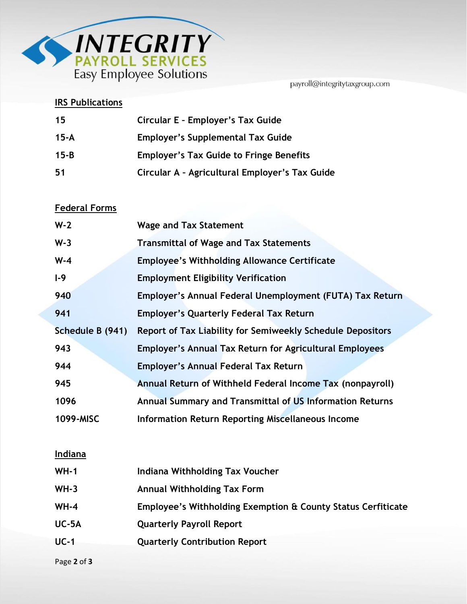

payroll@integritytaxgroup.com

### **IRS Publications**

| 15       | Circular E - Employer's Tax Guide              |
|----------|------------------------------------------------|
| 15-A     | <b>Employer's Supplemental Tax Guide</b>       |
| $15 - B$ | <b>Employer's Tax Guide to Fringe Benefits</b> |
| 51       | Circular A - Agricultural Employer's Tax Guide |

#### **Federal Forms**

| $W-2$            | <b>Wage and Tax Statement</b>                                     |
|------------------|-------------------------------------------------------------------|
| $W-3$            | <b>Transmittal of Wage and Tax Statements</b>                     |
| $W-4$            | <b>Employee's Withholding Allowance Certificate</b>               |
| $1-9$            | <b>Employment Eligibility Verification</b>                        |
| 940              | Employer's Annual Federal Unemployment (FUTA) Tax Return          |
| 941              | <b>Employer's Quarterly Federal Tax Return</b>                    |
| Schedule B (941) | <b>Report of Tax Liability for Semiweekly Schedule Depositors</b> |
| 943              | <b>Employer's Annual Tax Return for Agricultural Employees</b>    |
| 944              | <b>Employer's Annual Federal Tax Return</b>                       |
| 945              | Annual Return of Withheld Federal Income Tax (nonpayroll)         |
| 1096             | Annual Summary and Transmittal of US Information Returns          |
| 1099-MISC        | <b>Information Return Reporting Miscellaneous Income</b>          |

#### **Indiana**

| $WH-1$  | Indiana Withholding Tax Voucher                              |
|---------|--------------------------------------------------------------|
| $WH-3$  | <b>Annual Withholding Tax Form</b>                           |
| $WH-4$  | Employee's Withholding Exemption & County Status Cerfiticate |
| $UC-5A$ | <b>Quarterly Payroll Report</b>                              |
| $UC-1$  | <b>Quarterly Contribution Report</b>                         |
|         |                                                              |

Page **2** of **3**